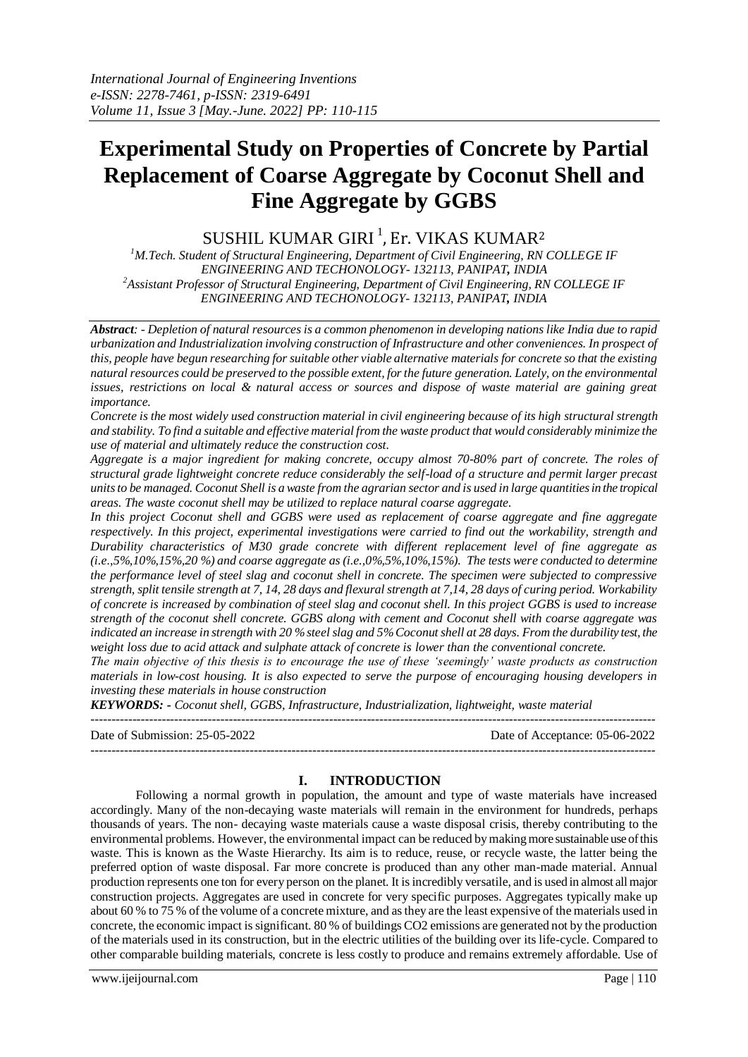# **Experimental Study on Properties of Concrete by Partial Replacement of Coarse Aggregate by Coconut Shell and Fine Aggregate by GGBS**

SUSHIL KUMAR GIRI $^1$ , Er. VIKAS KUMAR $^2$ 

*<sup>1</sup>M.Tech. Student of Structural Engineering, Department of Civil Engineering, RN COLLEGE IF ENGINEERING AND TECHONOLOGY- 132113, PANIPAT, INDIA <sup>2</sup>Assistant Professor of Structural Engineering, Department of Civil Engineering, RN COLLEGE IF ENGINEERING AND TECHONOLOGY- 132113, PANIPAT, INDIA*

*Abstract: - Depletion of natural resources is a common phenomenon in developing nations like India due to rapid urbanization and Industrialization involving construction of Infrastructure and other conveniences. In prospect of this, people have begun researching for suitable other viable alternative materials for concrete so that the existing natural resources could be preserved to the possible extent, for the future generation. Lately, on the environmental issues, restrictions on local & natural access or sources and dispose of waste material are gaining great importance.* 

*Concrete is the most widely used construction material in civil engineering because of its high structural strength and stability. To find a suitable and effective material from the waste product that would considerably minimize the use of material and ultimately reduce the construction cost.* 

*Aggregate is a major ingredient for making concrete, occupy almost 70-80% part of concrete. The roles of structural grade lightweight concrete reduce considerably the self-load of a structure and permit larger precast units to be managed. Coconut Shell is a waste from the agrarian sector and is used in large quantities in the tropical areas. The waste coconut shell may be utilized to replace natural coarse aggregate.*

In this project Coconut shell and GGBS were used as replacement of coarse aggregate and fine aggregate *respectively. In this project, experimental investigations were carried to find out the workability, strength and Durability characteristics of M30 grade concrete with different replacement level of fine aggregate as (i.e.,5%,10%,15%,20 %) and coarse aggregate as (i.e.,0%,5%,10%,15%). The tests were conducted to determine the performance level of steel slag and coconut shell in concrete. The specimen were subjected to compressive strength, split tensile strength at 7, 14, 28 days and flexural strength at 7,14, 28 days of curing period. Workability of concrete is increased by combination of steel slag and coconut shell. In this project GGBS is used to increase strength of the coconut shell concrete. GGBS along with cement and Coconut shell with coarse aggregate was indicated an increase in strength with 20 % steel slag and 5% Coconut shell at 28 days. From the durability test, the weight loss due to acid attack and sulphate attack of concrete is lower than the conventional concrete.* 

*The main objective of this thesis is to encourage the use of these 'seemingly' waste products as construction materials in low-cost housing. It is also expected to serve the purpose of encouraging housing developers in investing these materials in house construction*

*KEYWORDS: - Coconut shell, GGBS, Infrastructure, Industrialization, lightweight, waste material*

--------------------------------------------------------------------------------------------------------------------------------------- Date of Submission: 25-05-2022 Date of Acceptance: 05-06-2022 ---------------------------------------------------------------------------------------------------------------------------------------

## **I. INTRODUCTION**

Following a normal growth in population, the amount and type of waste materials have increased accordingly. Many of the non-decaying waste materials will remain in the environment for hundreds, perhaps thousands of years. The non- decaying waste materials cause a waste disposal crisis, thereby contributing to the environmental problems. However, the environmental impact can be reduced by making more sustainable use of this waste. This is known as the Waste Hierarchy. Its aim is to reduce, reuse, or recycle waste, the latter being the preferred option of waste disposal. Far more concrete is produced than any other man-made material. Annual production represents one ton for every person on the planet. It is incredibly versatile, and is used in almost all major construction projects. Aggregates are used in concrete for very specific purposes. Aggregates typically make up about 60 % to 75 % of the volume of a concrete mixture, and as they are the least expensive of the materials used in concrete, the economic impact is significant. 80 % of buildings CO2 emissions are generated not by the production of the materials used in its construction, but in the electric utilities of the building over its life-cycle. Compared to other comparable building materials, concrete is less costly to produce and remains extremely affordable. Use of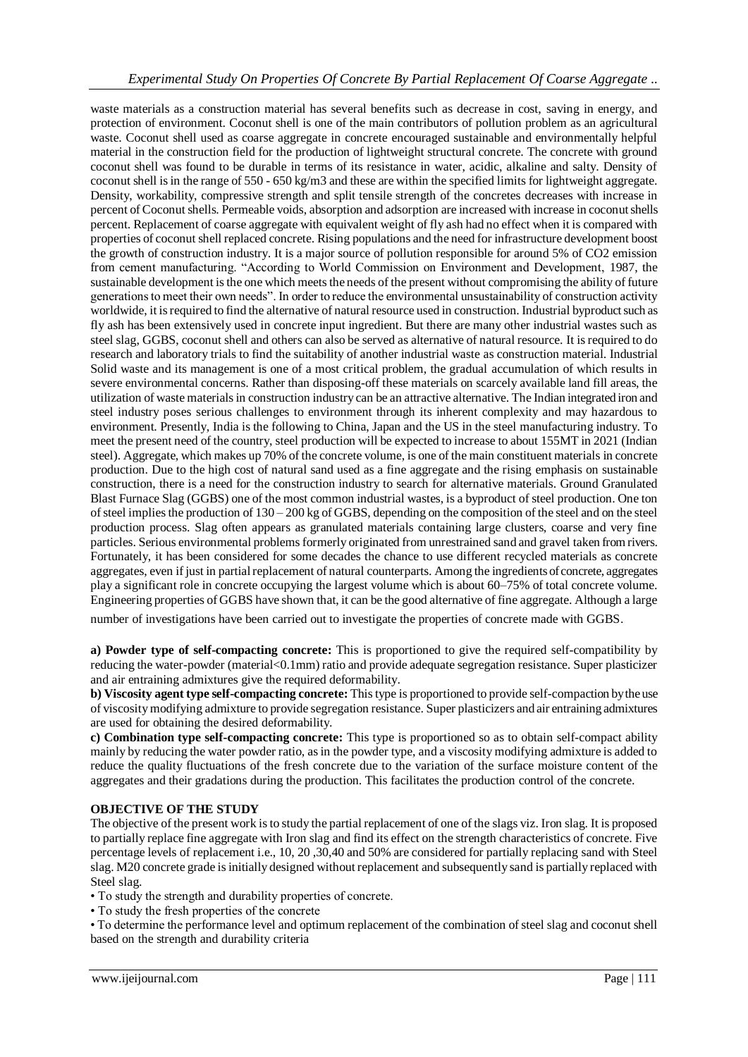waste materials as a construction material has several benefits such as decrease in cost, saving in energy, and protection of environment. Coconut shell is one of the main contributors of pollution problem as an agricultural waste. Coconut shell used as coarse aggregate in concrete encouraged sustainable and environmentally helpful material in the construction field for the production of lightweight structural concrete. The concrete with ground coconut shell was found to be durable in terms of its resistance in water, acidic, alkaline and salty. Density of coconut shell is in the range of  $550 - 650 \text{ kg/m}$ 3 and these are within the specified limits for lightweight aggregate. Density, workability, compressive strength and split tensile strength of the concretes decreases with increase in percent of Coconut shells. Permeable voids, absorption and adsorption are increased with increase in coconut shells percent. Replacement of coarse aggregate with equivalent weight of fly ash had no effect when it is compared with properties of coconut shell replaced concrete. Rising populations and the need for infrastructure development boost the growth of construction industry. It is a major source of pollution responsible for around 5% of CO2 emission from cement manufacturing. "According to World Commission on Environment and Development, 1987, the sustainable development is the one which meets the needs of the present without compromising the ability of future generations to meet their own needs". In order to reduce the environmental unsustainability of construction activity worldwide, it is required to find the alternative of natural resource used in construction. Industrial byproduct such as fly ash has been extensively used in concrete input ingredient. But there are many other industrial wastes such as steel slag, GGBS, coconut shell and others can also be served as alternative of natural resource. It isrequired to do research and laboratory trials to find the suitability of another industrial waste as construction material. Industrial Solid waste and its management is one of a most critical problem, the gradual accumulation of which results in severe environmental concerns. Rather than disposing-off these materials on scarcely available land fill areas, the utilization of waste materials in construction industry can be an attractive alternative. The Indian integrated iron and steel industry poses serious challenges to environment through its inherent complexity and may hazardous to environment. Presently, India is the following to China, Japan and the US in the steel manufacturing industry. To meet the present need of the country, steel production will be expected to increase to about 155MT in 2021 (Indian steel). Aggregate, which makes up 70% of the concrete volume, is one of the main constituent materials in concrete production. Due to the high cost of natural sand used as a fine aggregate and the rising emphasis on sustainable construction, there is a need for the construction industry to search for alternative materials. Ground Granulated Blast Furnace Slag (GGBS) one of the most common industrial wastes, is a byproduct of steel production. One ton of steel implies the production of 130 – 200 kg of GGBS, depending on the composition of the steel and on the steel production process. Slag often appears as granulated materials containing large clusters, coarse and very fine particles. Serious environmental problems formerly originated from unrestrained sand and gravel taken from rivers. Fortunately, it has been considered for some decades the chance to use different recycled materials as concrete aggregates, even if just in partial replacement of natural counterparts. Among the ingredients of concrete, aggregates play a significant role in concrete occupying the largest volume which is about 60–75% of total concrete volume. Engineering properties of GGBS have shown that, it can be the good alternative of fine aggregate. Although a large

number of investigations have been carried out to investigate the properties of concrete made with GGBS.

**a) Powder type of self-compacting concrete:** This is proportioned to give the required self-compatibility by reducing the water-powder (material<0.1mm) ratio and provide adequate segregation resistance. Super plasticizer and air entraining admixtures give the required deformability.

**b) Viscosity agent type self-compacting concrete:** This type is proportioned to provide self-compaction by the use of viscosity modifying admixture to provide segregation resistance. Super plasticizers and air entraining admixtures are used for obtaining the desired deformability.

**c) Combination type self-compacting concrete:** This type is proportioned so as to obtain self-compact ability mainly by reducing the water powder ratio, as in the powder type, and a viscosity modifying admixture is added to reduce the quality fluctuations of the fresh concrete due to the variation of the surface moisture content of the aggregates and their gradations during the production. This facilitates the production control of the concrete.

## **OBJECTIVE OF THE STUDY**

The objective of the present work is to study the partial replacement of one of the slags viz. Iron slag. It is proposed to partially replace fine aggregate with Iron slag and find its effect on the strength characteristics of concrete. Five percentage levels of replacement i.e., 10, 20 ,30,40 and 50% are considered for partially replacing sand with Steel slag. M20 concrete grade is initially designed without replacement and subsequently sand is partially replaced with Steel slag.

• To study the strength and durability properties of concrete.

• To study the fresh properties of the concrete

• To determine the performance level and optimum replacement of the combination of steel slag and coconut shell based on the strength and durability criteria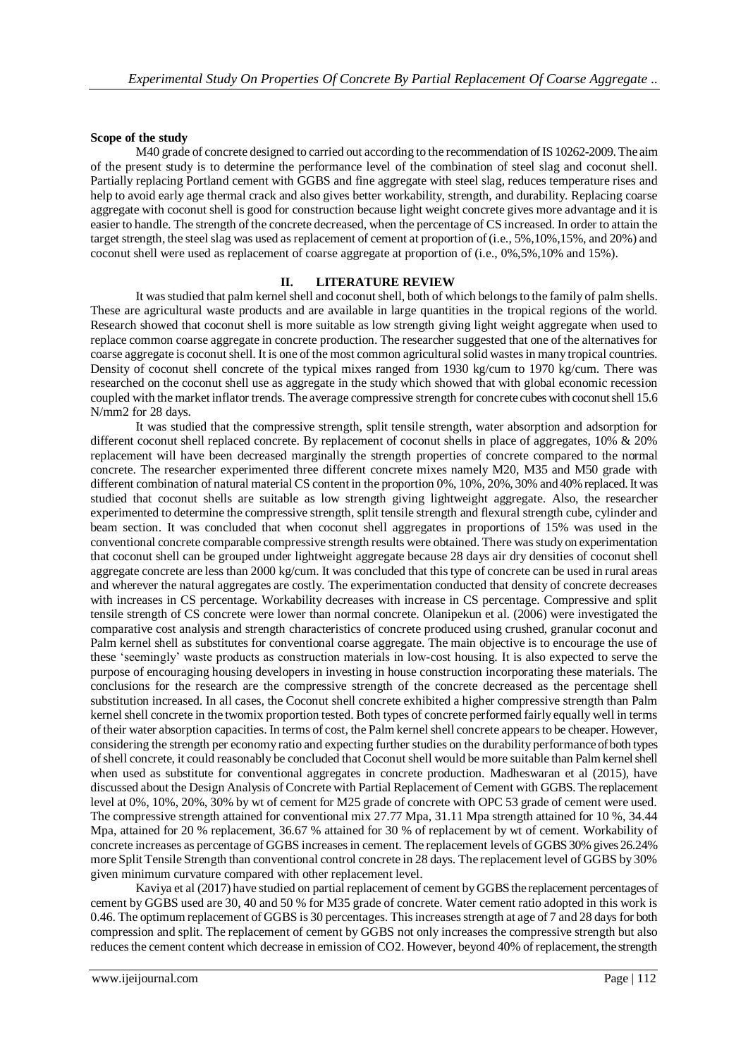#### **Scope of the study**

M40 grade of concrete designed to carried out according to the recommendation of IS 10262-2009. The aim of the present study is to determine the performance level of the combination of steel slag and coconut shell. Partially replacing Portland cement with GGBS and fine aggregate with steel slag, reduces temperature rises and help to avoid early age thermal crack and also gives better workability, strength, and durability. Replacing coarse aggregate with coconut shell is good for construction because light weight concrete gives more advantage and it is easier to handle. The strength of the concrete decreased, when the percentage of CS increased. In order to attain the target strength, the steel slag was used as replacement of cement at proportion of (i.e., 5%,10%,15%, and 20%) and coconut shell were used as replacement of coarse aggregate at proportion of (i.e., 0%,5%,10% and 15%).

## **II. LITERATURE REVIEW**

It was studied that palm kernel shell and coconut shell, both of which belongs to the family of palm shells. These are agricultural waste products and are available in large quantities in the tropical regions of the world. Research showed that coconut shell is more suitable as low strength giving light weight aggregate when used to replace common coarse aggregate in concrete production. The researcher suggested that one of the alternatives for coarse aggregate is coconut shell. It is one of the most common agricultural solid wastes in many tropical countries. Density of coconut shell concrete of the typical mixes ranged from 1930 kg/cum to 1970 kg/cum. There was researched on the coconut shell use as aggregate in the study which showed that with global economic recession coupled with the market inflator trends. The average compressive strength for concrete cubes with coconut shell 15.6 N/mm2 for 28 days.

It was studied that the compressive strength, split tensile strength, water absorption and adsorption for different coconut shell replaced concrete. By replacement of coconut shells in place of aggregates, 10% & 20% replacement will have been decreased marginally the strength properties of concrete compared to the normal concrete. The researcher experimented three different concrete mixes namely M20, M35 and M50 grade with different combination of natural material CS content in the proportion 0%, 10%, 20%, 30% and 40% replaced. It was studied that coconut shells are suitable as low strength giving lightweight aggregate. Also, the researcher experimented to determine the compressive strength, split tensile strength and flexural strength cube, cylinder and beam section. It was concluded that when coconut shell aggregates in proportions of 15% was used in the conventional concrete comparable compressive strength results were obtained. There was study on experimentation that coconut shell can be grouped under lightweight aggregate because 28 days air dry densities of coconut shell aggregate concrete are less than 2000 kg/cum. It was concluded that this type of concrete can be used in rural areas and wherever the natural aggregates are costly. The experimentation conducted that density of concrete decreases with increases in CS percentage. Workability decreases with increase in CS percentage. Compressive and split tensile strength of CS concrete were lower than normal concrete. Olanipekun et al. (2006) were investigated the comparative cost analysis and strength characteristics of concrete produced using crushed, granular coconut and Palm kernel shell as substitutes for conventional coarse aggregate. The main objective is to encourage the use of these 'seemingly' waste products as construction materials in low-cost housing. It is also expected to serve the purpose of encouraging housing developers in investing in house construction incorporating these materials. The conclusions for the research are the compressive strength of the concrete decreased as the percentage shell substitution increased. In all cases, the Coconut shell concrete exhibited a higher compressive strength than Palm kernel shell concrete in the twomix proportion tested. Both types of concrete performed fairly equally well in terms of their water absorption capacities. In terms of cost, the Palm kernel shell concrete appears to be cheaper. However, considering the strength per economy ratio and expecting further studies on the durability performance of both types of shell concrete, it could reasonably be concluded that Coconut shell would be more suitable than Palm kernel shell when used as substitute for conventional aggregates in concrete production. Madheswaran et al (2015), have discussed about the Design Analysis of Concrete with Partial Replacement of Cement with GGBS. The replacement level at 0%, 10%, 20%, 30% by wt of cement for M25 grade of concrete with OPC 53 grade of cement were used. The compressive strength attained for conventional mix 27.77 Mpa, 31.11 Mpa strength attained for 10 %, 34.44 Mpa, attained for 20 % replacement, 36.67 % attained for 30 % of replacement by wt of cement. Workability of concrete increases as percentage of GGBS increases in cement. The replacement levels of GGBS 30% gives 26.24% more Split Tensile Strength than conventional control concrete in 28 days. The replacement level of GGBS by 30% given minimum curvature compared with other replacement level.

Kaviya et al (2017) have studied on partial replacement of cement by GGBS the replacement percentages of cement by GGBS used are 30, 40 and 50 % for M35 grade of concrete. Water cement ratio adopted in this work is 0.46. The optimum replacement of GGBS is 30 percentages. This increases strength at age of 7 and 28 days for both compression and split. The replacement of cement by GGBS not only increases the compressive strength but also reduces the cement content which decrease in emission of CO2. However, beyond 40% of replacement, the strength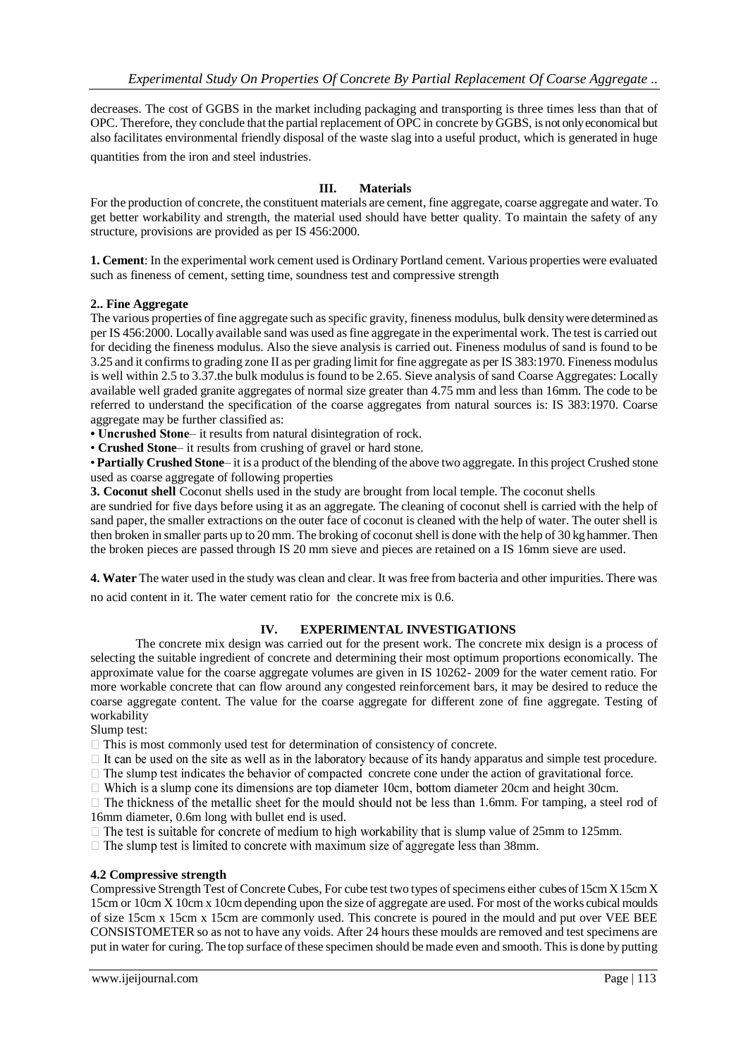decreases. The cost of GGBS in the market including packaging and transporting is three times less than that of OPC. Therefore, they conclude that the partial replacement of OPC in concrete by GGBS, is not only economical but also facilitates environmental friendly disposal of the waste slag into a useful product, which is generated in huge quantities from the iron and steel industries.

## **III. Materials**

For the production of concrete, the constituent materials are cement, fine aggregate, coarse aggregate and water. To get better workability and strength, the material used should have better quality. To maintain the safety of any structure, provisions are provided as per IS 456:2000.

**1. Cement**: In the experimental work cement used is Ordinary Portland cement. Various properties were evaluated such as fineness of cement, setting time, soundness test and compressive strength

## **2.. Fine Aggregate**

The various properties of fine aggregate such as specific gravity, fineness modulus, bulk density were determined as per IS 456:2000. Locally available sand was used as fine aggregate in the experimental work. The test is carried out for deciding the fineness modulus. Also the sieve analysis is carried out. Fineness modulus of sand is found to be 3.25 and it confirms to grading zone II as per grading limit for fine aggregate as per IS 383:1970. Fineness modulus is well within 2.5 to 3.37.the bulk modulus is found to be 2.65. Sieve analysis of sand Coarse Aggregates: Locally available well graded granite aggregates of normal size greater than 4.75 mm and less than 16mm. The code to be referred to understand the specification of the coarse aggregates from natural sources is: IS 383:1970. Coarse aggregate may be further classified as:

**• Uncrushed Stone**– it results from natural disintegration of rock.

• **Crushed Stone**– it results from crushing of gravel or hard stone.

• **Partially Crushed Stone**– it is a product of the blending of the above two aggregate. In this project Crushed stone used as coarse aggregate of following properties

**3. Coconut shell** Coconut shells used in the study are brought from local temple. The coconut shells

are sundried for five days before using it as an aggregate. The cleaning of coconut shell is carried with the help of sand paper, the smaller extractions on the outer face of coconut is cleaned with the help of water. The outer shell is then broken in smaller parts up to 20 mm. The broking of coconut shell is done with the help of 30 kg hammer. Then the broken pieces are passed through IS 20 mm sieve and pieces are retained on a IS 16mm sieve are used.

**4. Water** The water used in the study was clean and clear. It was free from bacteria and other impurities. There was no acid content in it. The water cement ratio for the concrete mix is 0.6.

## **IV. EXPERIMENTAL INVESTIGATIONS**

The concrete mix design was carried out for the present work. The concrete mix design is a process of selecting the suitable ingredient of concrete and determining their most optimum proportions economically. The approximate value for the coarse aggregate volumes are given in IS 10262- 2009 for the water cement ratio. For more workable concrete that can flow around any congested reinforcement bars, it may be desired to reduce the coarse aggregate content. The value for the coarse aggregate for different zone of fine aggregate. Testing of workability

Slump test:

 $\Box$  This is most commonly used test for determination of consistency of concrete.

 $\Box$  It can be used on the site as well as in the laboratory because of its handy apparatus and simple test procedure.

 $\Box$  The slump test indicates the behavior of compacted concrete cone under the action of gravitational force.

 $\Box$  Which is a slump cone its dimensions are top diameter 10cm, bottom diameter 20cm and height 30cm.

 $\Box$  The thickness of the metallic sheet for the mould should not be less than 1.6mm. For tamping, a steel rod of 16mm diameter, 0.6m long with bullet end is used.

 $\Box$  The test is suitable for concrete of medium to high workability that is slump value of 25mm to 125mm.

 $\Box$  The slump test is limited to concrete with maximum size of aggregate less than 38mm.

#### **4.2 Compressive strength**

Compressive Strength Test of Concrete Cubes, For cube test two types of specimens either cubes of 15cm X 15cm X 15cm or 10cm X 10cm x 10cm depending upon the size of aggregate are used. For most of the works cubical moulds of size 15cm x 15cm x 15cm are commonly used. This concrete is poured in the mould and put over VEE BEE CONSISTOMETER so as not to have any voids. After 24 hours these moulds are removed and test specimens are put in water for curing. The top surface of these specimen should be made even and smooth. This is done by putting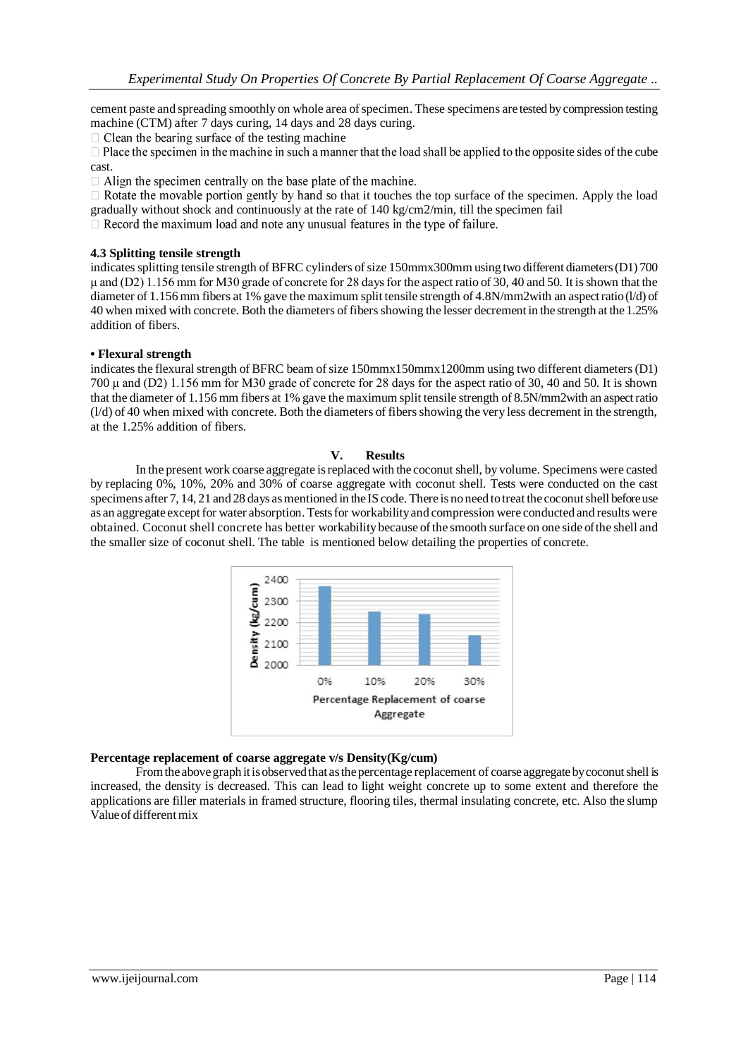cement paste and spreading smoothly on whole area of specimen. These specimens are tested by compression testing machine (CTM) after 7 days curing, 14 days and 28 days curing.

 $\Box$  Clean the bearing surface of the testing machine

 $\Box$  Place the specimen in the machine in such a manner that the load shall be applied to the opposite sides of the cube cast.

 $\Box$  Align the specimen centrally on the base plate of the machine.

 $\Box$  Rotate the movable portion gently by hand so that it touches the top surface of the specimen. Apply the load gradually without shock and continuously at the rate of 140 kg/cm2/min, till the specimen fail

 $\Box$  Record the maximum load and note any unusual features in the type of failure.

## **4.3 Splitting tensile strength**

indicates splitting tensile strength of BFRC cylinders of size 150mmx300mm using two different diameters (D1) 700 μ and (D2) 1.156 mm for M30 grade of concrete for 28 days for the aspect ratio of 30, 40 and 50. It is shown that the diameter of 1.156 mm fibers at 1% gave the maximum split tensile strength of 4.8N/mm2with an aspect ratio (l/d) of 40 when mixed with concrete. Both the diameters of fibers showing the lesser decrement in the strength at the 1.25% addition of fibers.

## **• Flexural strength**

indicates the flexural strength of BFRC beam of size 150mmx150mmx1200mm using two different diameters (D1) 700 μ and (D2) 1.156 mm for M30 grade of concrete for 28 days for the aspect ratio of 30, 40 and 50. It is shown that the diameter of 1.156 mm fibers at 1% gave the maximum split tensile strength of 8.5N/mm2with an aspect ratio (l/d) of 40 when mixed with concrete. Both the diameters of fibers showing the very less decrement in the strength, at the 1.25% addition of fibers.

#### **V. Results**

In the present work coarse aggregate isreplaced with the coconut shell, by volume. Specimens were casted by replacing 0%, 10%, 20% and 30% of coarse aggregate with coconut shell. Tests were conducted on the cast specimens after 7, 14, 21 and 28 days as mentioned in the IS code. There is no need to treat the coconut shell before use as an aggregate except for water absorption. Tests for workability and compression were conducted and results were obtained. Coconut shell concrete has better workability because ofthe smooth surface on one side of the shell and the smaller size of coconut shell. The table is mentioned below detailing the properties of concrete.



#### **Percentage replacement of coarse aggregate v/s Density(Kg/cum)**

From the above graph it is observed that as the percentage replacement of coarse aggregate by coconut shell is increased, the density is decreased. This can lead to light weight concrete up to some extent and therefore the applications are filler materials in framed structure, flooring tiles, thermal insulating concrete, etc. Also the slump Value of different mix